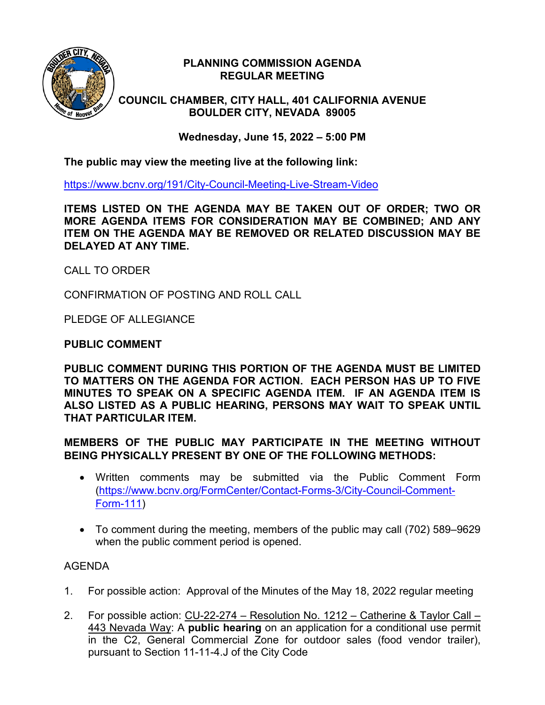

## **PLANNING COMMISSION AGENDA REGULAR MEETING**

**COUNCIL CHAMBER, CITY HALL, 401 CALIFORNIA AVENUE BOULDER CITY, NEVADA 89005**

**Wednesday, June 15, 2022 – 5:00 PM**

**The public may view the meeting live at the following link:**

<https://www.bcnv.org/191/City-Council-Meeting-Live-Stream-Video>

**ITEMS LISTED ON THE AGENDA MAY BE TAKEN OUT OF ORDER; TWO OR MORE AGENDA ITEMS FOR CONSIDERATION MAY BE COMBINED; AND ANY ITEM ON THE AGENDA MAY BE REMOVED OR RELATED DISCUSSION MAY BE DELAYED AT ANY TIME.**

CALL TO ORDER

CONFIRMATION OF POSTING AND ROLL CALL

PLEDGE OF ALLEGIANCE

## **PUBLIC COMMENT**

**PUBLIC COMMENT DURING THIS PORTION OF THE AGENDA MUST BE LIMITED TO MATTERS ON THE AGENDA FOR ACTION. EACH PERSON HAS UP TO FIVE MINUTES TO SPEAK ON A SPECIFIC AGENDA ITEM. IF AN AGENDA ITEM IS ALSO LISTED AS A PUBLIC HEARING, PERSONS MAY WAIT TO SPEAK UNTIL THAT PARTICULAR ITEM.**

**MEMBERS OF THE PUBLIC MAY PARTICIPATE IN THE MEETING WITHOUT BEING PHYSICALLY PRESENT BY ONE OF THE FOLLOWING METHODS:**

- Written comments may be submitted via the Public Comment Form [\(https://www.bcnv.org/FormCenter/Contact-Forms-3/City-Council-Comment-](https://www.bcnv.org/FormCenter/Contact-Forms-3/City-Council-Comment-Form-111)[Form-111\)](https://www.bcnv.org/FormCenter/Contact-Forms-3/City-Council-Comment-Form-111)
- To comment during the meeting, members of the public may call (702) 589–9629 when the public comment period is opened.

## AGENDA

- 1. For possible action: Approval of the Minutes of the May 18, 2022 regular meeting
- 2. For possible action: CU-22-274 Resolution No. 1212 Catherine & Taylor Call 443 Nevada Way: A **public hearing** on an application for a conditional use permit in the C2, General Commercial Zone for outdoor sales (food vendor trailer), pursuant to Section 11-11-4.J of the City Code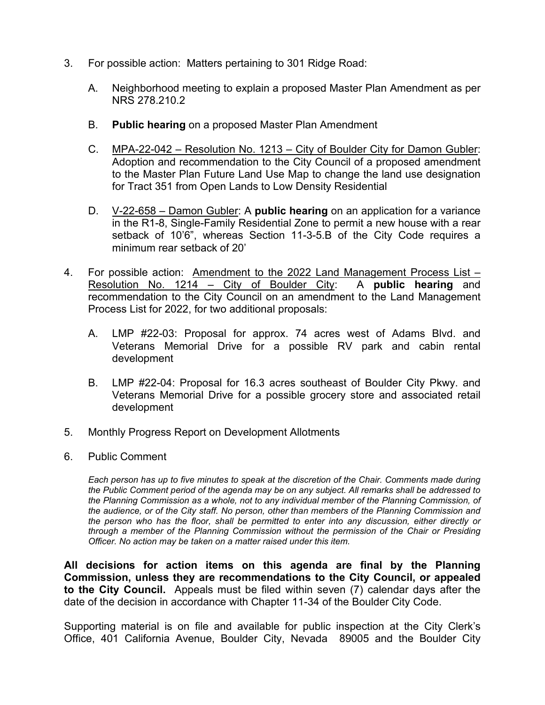- 3. For possible action: Matters pertaining to 301 Ridge Road:
	- A. Neighborhood meeting to explain a proposed Master Plan Amendment as per NRS 278.210.2
	- B. **Public hearing** on a proposed Master Plan Amendment
	- C. MPA-22-042 Resolution No. 1213 City of Boulder City for Damon Gubler: Adoption and recommendation to the City Council of a proposed amendment to the Master Plan Future Land Use Map to change the land use designation for Tract 351 from Open Lands to Low Density Residential
	- D. V-22-658 Damon Gubler: A **public hearing** on an application for a variance in the R1-8, Single-Family Residential Zone to permit a new house with a rear setback of 10'6", whereas Section 11-3-5.B of the City Code requires a minimum rear setback of 20'
- 4. For possible action: Amendment to the 2022 Land Management Process List –<br>Resolution No. 1214 City of Boulder City: A **public hearing** and Resolution No. 1214 – City of Boulder City: recommendation to the City Council on an amendment to the Land Management Process List for 2022, for two additional proposals:
	- A. LMP #22-03: Proposal for approx. 74 acres west of Adams Blvd. and Veterans Memorial Drive for a possible RV park and cabin rental development
	- B. LMP #22-04: Proposal for 16.3 acres southeast of Boulder City Pkwy. and Veterans Memorial Drive for a possible grocery store and associated retail development
- 5. Monthly Progress Report on Development Allotments
- 6. Public Comment

*Each person has up to five minutes to speak at the discretion of the Chair. Comments made during the Public Comment period of the agenda may be on any subject. All remarks shall be addressed to the Planning Commission as a whole, not to any individual member of the Planning Commission, of the audience, or of the City staff. No person, other than members of the Planning Commission and the person who has the floor, shall be permitted to enter into any discussion, either directly or through a member of the Planning Commission without the permission of the Chair or Presiding Officer. No action may be taken on a matter raised under this item.*

**All decisions for action items on this agenda are final by the Planning Commission, unless they are recommendations to the City Council, or appealed to the City Council.** Appeals must be filed within seven (7) calendar days after the date of the decision in accordance with Chapter 11-34 of the Boulder City Code.

Supporting material is on file and available for public inspection at the City Clerk's Office, 401 California Avenue, Boulder City, Nevada 89005 and the Boulder City